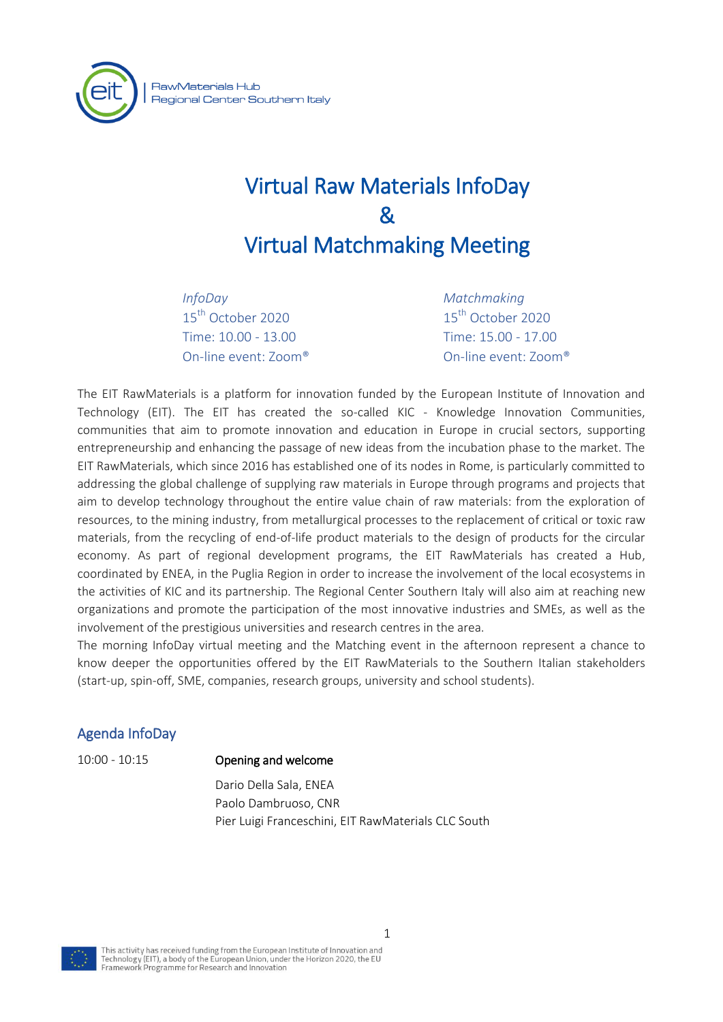

# Virtual Raw Materials InfoDay & Virtual Matchmaking Meeting

*InfoDay* 15<sup>th</sup> October 2020 Time: 10.00 - 13.00 On-line event: Zoom® *Matchmaking* 15<sup>th</sup> October 2020 Time: 15.00 - 17.00 On-line event: Zoom®

The EIT RawMaterials is a platform for innovation funded by the European Institute of Innovation and Technology (EIT). The EIT has created the so-called KIC - Knowledge Innovation Communities, communities that aim to promote innovation and education in Europe in crucial sectors, supporting entrepreneurship and enhancing the passage of new ideas from the incubation phase to the market. The EIT RawMaterials, which since 2016 has established one of its nodes in Rome, is particularly committed to addressing the global challenge of supplying raw materials in Europe through programs and projects that aim to develop technology throughout the entire value chain of raw materials: from the exploration of resources, to the mining industry, from metallurgical processes to the replacement of critical or toxic raw materials, from the recycling of end-of-life product materials to the design of products for the circular economy. As part of regional development programs, the EIT RawMaterials has created a Hub, coordinated by ENEA, in the Puglia Region in order to increase the involvement of the local ecosystems in the activities of KIC and its partnership. The Regional Center Southern Italy will also aim at reaching new organizations and promote the participation of the most innovative industries and SMEs, as well as the involvement of the prestigious universities and research centres in the area.

The morning InfoDay virtual meeting and the Matching event in the afternoon represent a chance to know deeper the opportunities offered by the EIT RawMaterials to the Southern Italian stakeholders (start-up, spin-off, SME, companies, research groups, university and school students).

## Agenda InfoDay

### 10:00 - 10:15 Opening and welcome

 Dario Della Sala, ENEA Paolo Dambruoso, CNR Pier Luigi Franceschini, EIT RawMaterials CLC South



This activity has received funding from the European Institute of Innovation and Technology (EIT), a body of the European Union, under the Horizon 2020, the EU<br>Framework Programme for Research and Innovation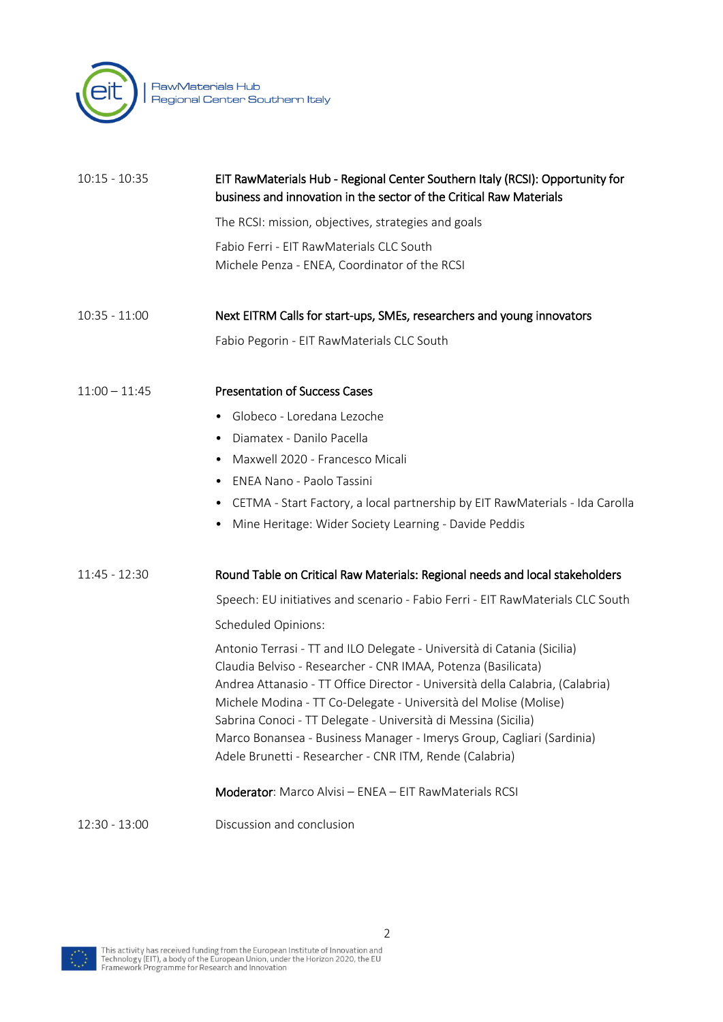

| $10:15 - 10:35$ | EIT RawMaterials Hub - Regional Center Southern Italy (RCSI): Opportunity for<br>business and innovation in the sector of the Critical Raw Materials                                                                                                                                                                                                                                                                                                                                                                                                          |
|-----------------|---------------------------------------------------------------------------------------------------------------------------------------------------------------------------------------------------------------------------------------------------------------------------------------------------------------------------------------------------------------------------------------------------------------------------------------------------------------------------------------------------------------------------------------------------------------|
|                 | The RCSI: mission, objectives, strategies and goals                                                                                                                                                                                                                                                                                                                                                                                                                                                                                                           |
|                 | Fabio Ferri - EIT RawMaterials CLC South<br>Michele Penza - ENEA, Coordinator of the RCSI                                                                                                                                                                                                                                                                                                                                                                                                                                                                     |
| $10:35 - 11:00$ | Next EITRM Calls for start-ups, SMEs, researchers and young innovators                                                                                                                                                                                                                                                                                                                                                                                                                                                                                        |
|                 | Fabio Pegorin - EIT RawMaterials CLC South                                                                                                                                                                                                                                                                                                                                                                                                                                                                                                                    |
| $11:00 - 11:45$ | <b>Presentation of Success Cases</b>                                                                                                                                                                                                                                                                                                                                                                                                                                                                                                                          |
|                 | Globeco - Loredana Lezoche<br>$\bullet$                                                                                                                                                                                                                                                                                                                                                                                                                                                                                                                       |
|                 | Diamatex - Danilo Pacella<br>$\bullet$                                                                                                                                                                                                                                                                                                                                                                                                                                                                                                                        |
|                 | Maxwell 2020 - Francesco Micali<br>$\bullet$                                                                                                                                                                                                                                                                                                                                                                                                                                                                                                                  |
|                 | <b>ENEA Nano - Paolo Tassini</b><br>$\bullet$                                                                                                                                                                                                                                                                                                                                                                                                                                                                                                                 |
|                 | CETMA - Start Factory, a local partnership by EIT RawMaterials - Ida Carolla<br>$\bullet$                                                                                                                                                                                                                                                                                                                                                                                                                                                                     |
|                 | Mine Heritage: Wider Society Learning - Davide Peddis                                                                                                                                                                                                                                                                                                                                                                                                                                                                                                         |
| 11:45 - 12:30   | Round Table on Critical Raw Materials: Regional needs and local stakeholders                                                                                                                                                                                                                                                                                                                                                                                                                                                                                  |
|                 | Speech: EU initiatives and scenario - Fabio Ferri - EIT RawMaterials CLC South                                                                                                                                                                                                                                                                                                                                                                                                                                                                                |
|                 | Scheduled Opinions:                                                                                                                                                                                                                                                                                                                                                                                                                                                                                                                                           |
|                 | Antonio Terrasi - TT and ILO Delegate - Università di Catania (Sicilia)<br>Claudia Belviso - Researcher - CNR IMAA, Potenza (Basilicata)<br>Andrea Attanasio - TT Office Director - Università della Calabria, (Calabria)<br>Michele Modina - TT Co-Delegate - Università del Molise (Molise)<br>Sabrina Conoci - TT Delegate - Università di Messina (Sicilia)<br>Marco Bonansea - Business Manager - Imerys Group, Cagliari (Sardinia)<br>Adele Brunetti - Researcher - CNR ITM, Rende (Calabria)<br>Moderator: Marco Alvisi - ENEA - EIT RawMaterials RCSI |
| 12:30 - 13:00   | Discussion and conclusion                                                                                                                                                                                                                                                                                                                                                                                                                                                                                                                                     |

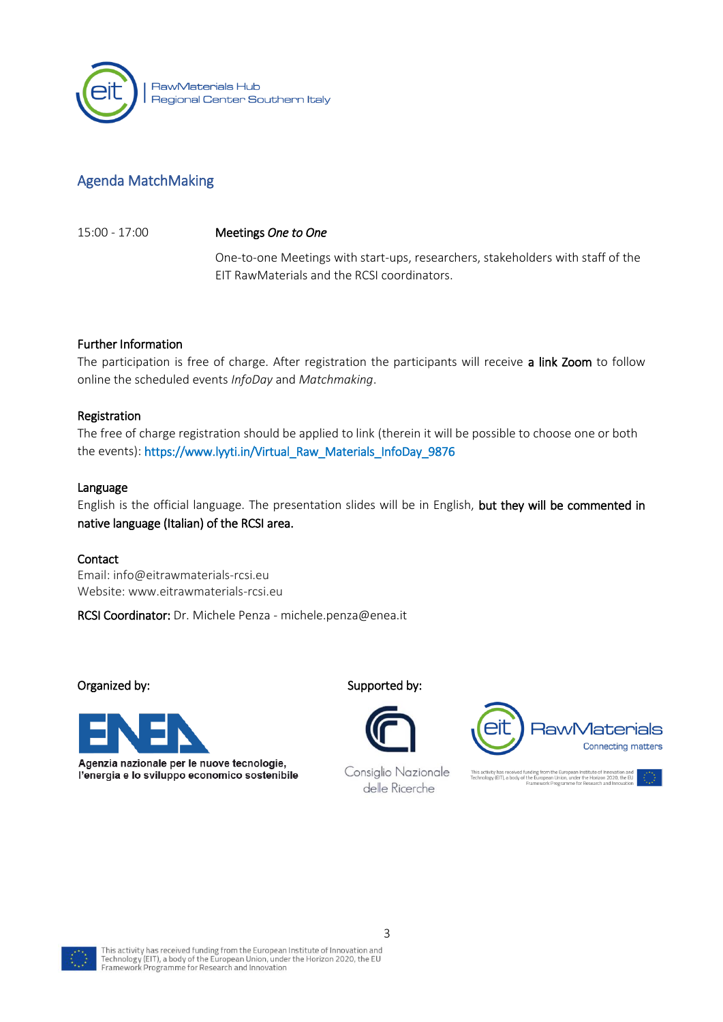

# Agenda MatchMaking

15:00 - 17:00 Meetings *One to One*

One-to-one Meetings with start-ups, researchers, stakeholders with staff of the EIT RawMaterials and the RCSI coordinators.

#### Further Information

The participation is free of charge. After registration the participants will receive a link Zoom to follow online the scheduled events *InfoDay* and *Matchmaking*.

#### Registration

The free of charge registration should be applied to link (therein it will be possible to choose one or both the events): [https://www.lyyti.in/Virtual\\_Raw\\_Materials\\_InfoDay\\_9876](https://www.lyyti.in/Virtual_Raw_Materials_InfoDay_9876)

#### Language

English is the official language. The presentation slides will be in English, but they will be commented in native language (Italian) of the RCSI area.

#### Contact

Email: [info@eitrawmaterials-rcsi.eu](mailto:info@eitrawmaterials-rcsi.eu) Website: www.eitrawmaterials-rcsi.eu

RCSI Coordinator: Dr. Michele Penza - michele.penza@enea.it



Agenzia nazionale per le nuove tecnologie, l'energia e lo sviluppo economico sostenibile

Organized by: Supported by:



Consiglio Nazionale delle Ricerche



tivity has received funding from the European Institute of Innovation and<br>logy (EIT), a body of the European Union, under the Horizon 2020, the EU<br>Framework Programme for Research and Innovation